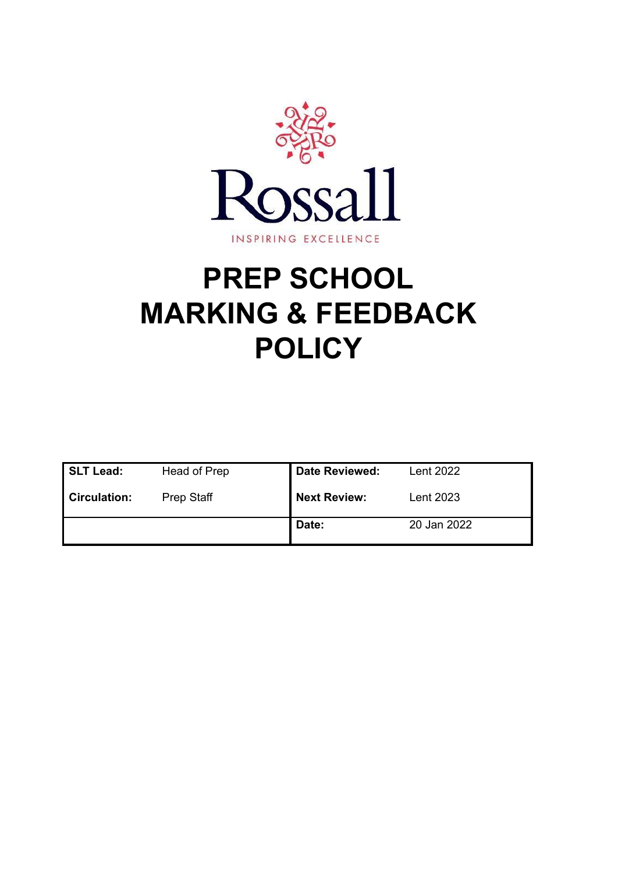

# **PREP SCHOOL MARKING & FEEDBACK POLICY**

| <b>SLT Lead:</b>    | Head of Prep | <b>Date Reviewed:</b> | Lent 2022   |
|---------------------|--------------|-----------------------|-------------|
| <b>Circulation:</b> | Prep Staff   | <b>Next Review:</b>   | Lent 2023   |
|                     |              | Date:                 | 20 Jan 2022 |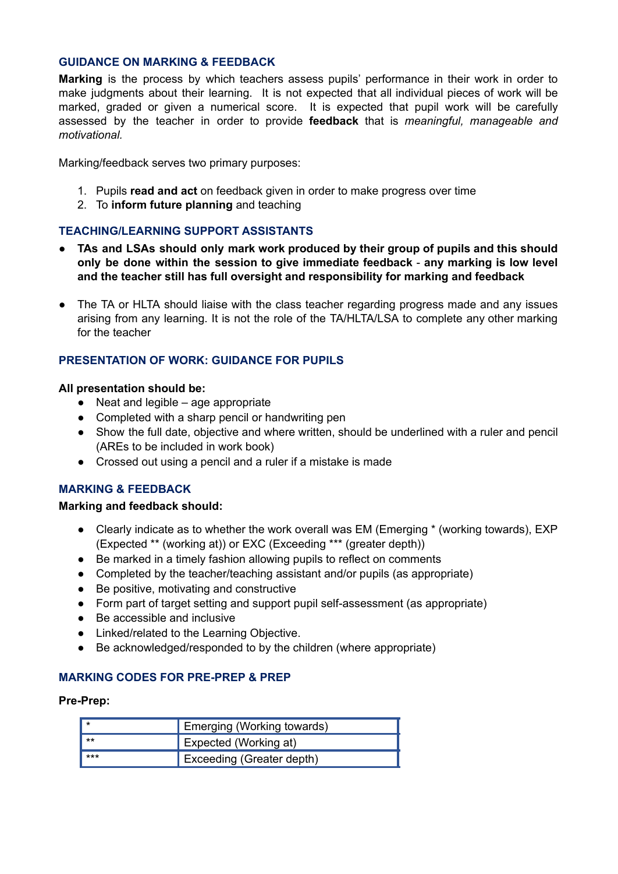# **GUIDANCE ON MARKING & FEEDBACK**

**Marking** is the process by which teachers assess pupils' performance in their work in order to make judgments about their learning. It is not expected that all individual pieces of work will be marked, graded or given a numerical score. It is expected that pupil work will be carefully assessed by the teacher in order to provide **feedback** that is *meaningful, manageable and motivational.*

Marking/feedback serves two primary purposes:

- 1. Pupils **read and act** on feedback given in order to make progress over time
- 2. To **inform future planning** and teaching

# **TEACHING/LEARNING SUPPORT ASSISTANTS**

- **TAs and LSAs should only mark work produced by their group of pupils and this should only be done within the session to give immediate feedback** - **any marking is low level and the teacher still has full oversight and responsibility for marking and feedback**
- The TA or HLTA should liaise with the class teacher regarding progress made and any issues arising from any learning. It is not the role of the TA/HLTA/LSA to complete any other marking for the teacher

# **PRESENTATION OF WORK: GUIDANCE FOR PUPILS**

#### **All presentation should be:**

- **●** Neat and legible age appropriate
- **●** Completed with a sharp pencil or handwriting pen
- **●** Show the full date, objective and where written, should be underlined with a ruler and pencil (AREs to be included in work book)
- **●** Crossed out using a pencil and a ruler if a mistake is made

# **MARKING & FEEDBACK**

# **Marking and feedback should:**

- **●** Clearly indicate as to whether the work overall was EM (Emerging \* (working towards), EXP (Expected \*\* (working at)) or EXC (Exceeding \*\*\* (greater depth))
- Be marked in a timely fashion allowing pupils to reflect on comments
- Completed by the teacher/teaching assistant and/or pupils (as appropriate)
- Be positive, motivating and constructive
- Form part of target setting and support pupil self-assessment (as appropriate)
- Be accessible and inclusive
- Linked/related to the Learning Objective.
- Be acknowledged/responded to by the children (where appropriate)

# **MARKING CODES FOR PRE-PREP & PREP**

#### **Pre-Prep:**

|       | Emerging (Working towards) |
|-------|----------------------------|
| $***$ | Expected (Working at)      |
| ***   | Exceeding (Greater depth)  |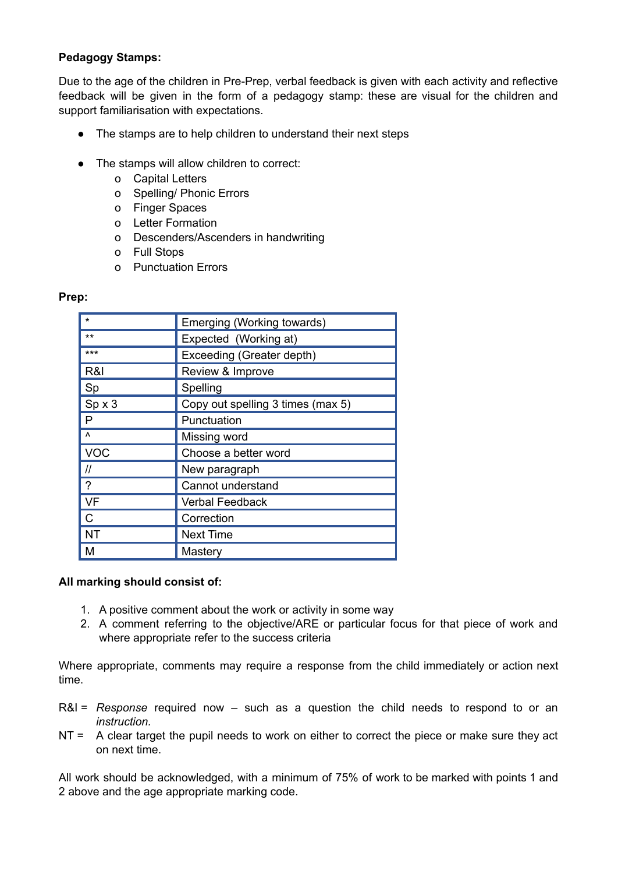# **Pedagogy Stamps:**

Due to the age of the children in Pre-Prep, verbal feedback is given with each activity and reflective feedback will be given in the form of a pedagogy stamp: these are visual for the children and support familiarisation with expectations.

- The stamps are to help children to understand their next steps
- The stamps will allow children to correct:
	- o Capital Letters
	- o Spelling/ Phonic Errors
	- o Finger Spaces
	- o Letter Formation
	- o Descenders/Ascenders in handwriting
	- o Full Stops
	- o Punctuation Errors

# **Prep:**

| ÷                                                         | Emerging (Working towards)        |
|-----------------------------------------------------------|-----------------------------------|
| $***$                                                     | Expected (Working at)             |
| ***                                                       | Exceeding (Greater depth)         |
| R&I                                                       | Review & Improve                  |
| Sp                                                        | Spelling                          |
| Spx3                                                      | Copy out spelling 3 times (max 5) |
| P                                                         | Punctuation                       |
| Λ                                                         | Missing word                      |
| <b>VOC</b>                                                | Choose a better word              |
| $\mathcal{U}% _{M_{1},M_{2}}^{\alpha,\beta}(\varepsilon)$ | New paragraph                     |
| $\overline{?}$                                            | Cannot understand                 |
| <b>VF</b>                                                 | <b>Verbal Feedback</b>            |
| $\mathsf{C}$                                              | Correction                        |
| <b>NT</b>                                                 | <b>Next Time</b>                  |
| M                                                         | Mastery                           |

# **All marking should consist of:**

- 1. A positive comment about the work or activity in some way
- 2. A comment referring to the objective/ARE or particular focus for that piece of work and where appropriate refer to the success criteria

Where appropriate, comments may require a response from the child immediately or action next time.

- R&I = *Response* required now such as a question the child needs to respond to or an *instruction.*
- NT = A clear target the pupil needs to work on either to correct the piece or make sure they act on next time.

All work should be acknowledged, with a minimum of 75% of work to be marked with points 1 and 2 above and the age appropriate marking code.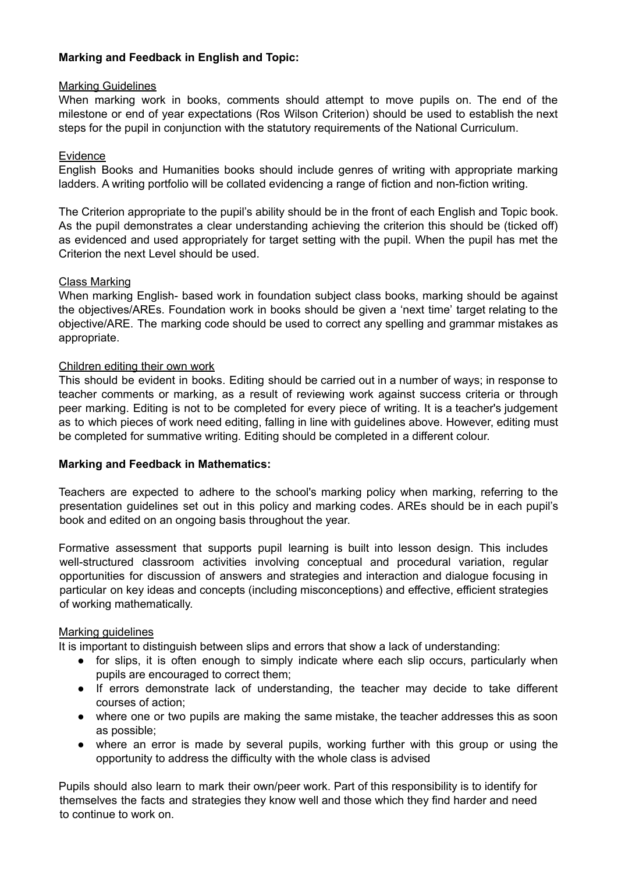# **Marking and Feedback in English and Topic:**

# Marking Guidelines

When marking work in books, comments should attempt to move pupils on. The end of the milestone or end of year expectations (Ros Wilson Criterion) should be used to establish the next steps for the pupil in conjunction with the statutory requirements of the National Curriculum.

# Evidence

English Books and Humanities books should include genres of writing with appropriate marking ladders. A writing portfolio will be collated evidencing a range of fiction and non-fiction writing.

The Criterion appropriate to the pupil's ability should be in the front of each English and Topic book. As the pupil demonstrates a clear understanding achieving the criterion this should be (ticked off) as evidenced and used appropriately for target setting with the pupil. When the pupil has met the Criterion the next Level should be used.

#### Class Marking

When marking English- based work in foundation subject class books, marking should be against the objectives/AREs. Foundation work in books should be given a 'next time' target relating to the objective/ARE. The marking code should be used to correct any spelling and grammar mistakes as appropriate.

#### Children editing their own work

This should be evident in books. Editing should be carried out in a number of ways; in response to teacher comments or marking, as a result of reviewing work against success criteria or through peer marking. Editing is not to be completed for every piece of writing. It is a teacher's judgement as to which pieces of work need editing, falling in line with guidelines above. However, editing must be completed for summative writing. Editing should be completed in a different colour.

# **Marking and Feedback in Mathematics:**

Teachers are expected to adhere to the school's marking policy when marking, referring to the presentation guidelines set out in this policy and marking codes. AREs should be in each pupil's book and edited on an ongoing basis throughout the year.

Formative assessment that supports pupil learning is built into lesson design. This includes well-structured classroom activities involving conceptual and procedural variation, regular opportunities for discussion of answers and strategies and interaction and dialogue focusing in particular on key ideas and concepts (including misconceptions) and effective, efficient strategies of working mathematically.

# Marking guidelines

It is important to distinguish between slips and errors that show a lack of understanding:

- for slips, it is often enough to simply indicate where each slip occurs, particularly when pupils are encouraged to correct them;
- If errors demonstrate lack of understanding, the teacher may decide to take different courses of action;
- where one or two pupils are making the same mistake, the teacher addresses this as soon as possible;
- where an error is made by several pupils, working further with this group or using the opportunity to address the difficulty with the whole class is advised

Pupils should also learn to mark their own/peer work. Part of this responsibility is to identify for themselves the facts and strategies they know well and those which they find harder and need to continue to work on.